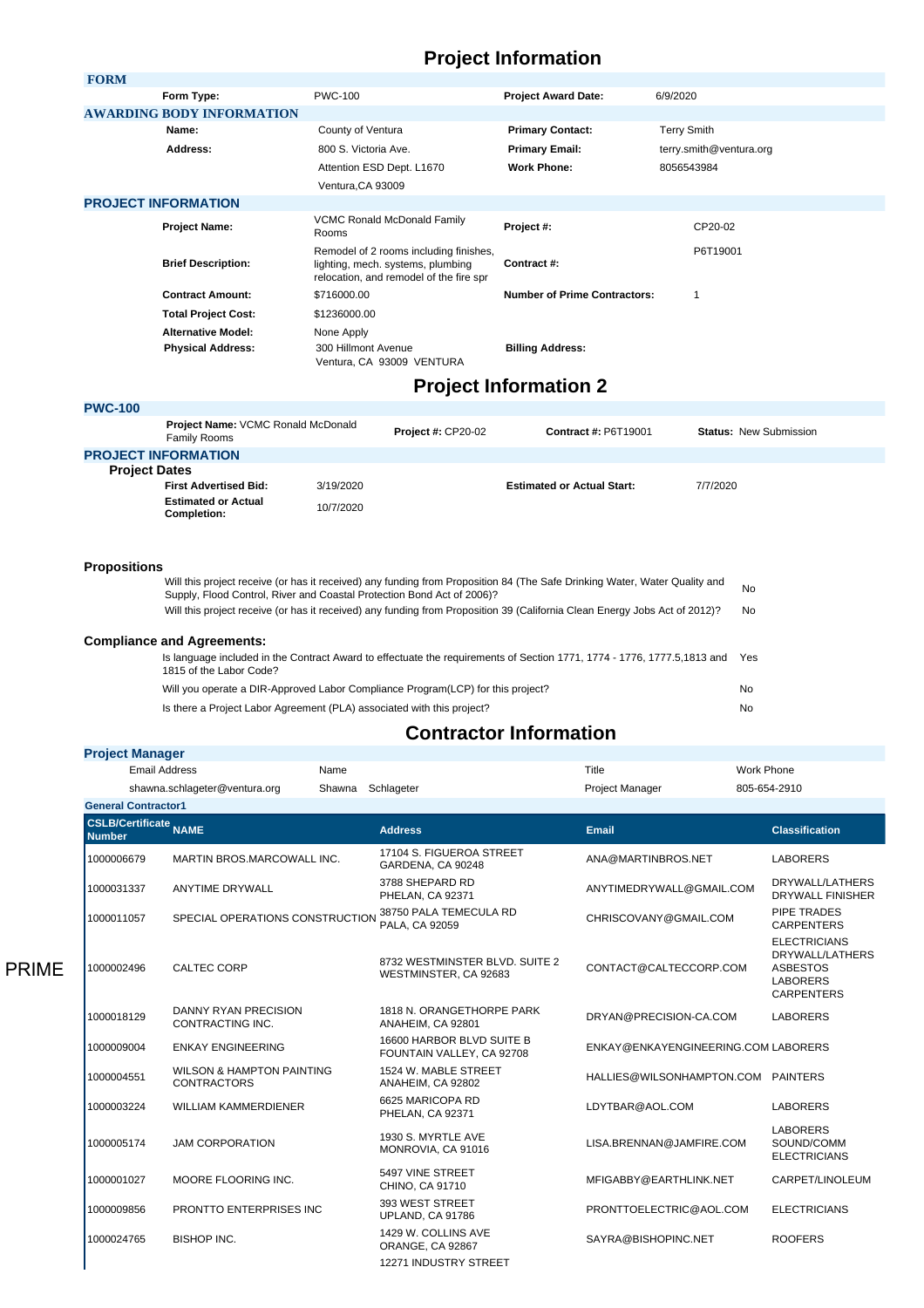## **Project Information**

| <b>FORM</b>                |                                            |                                                                                                                                       |                                     |                         |
|----------------------------|--------------------------------------------|---------------------------------------------------------------------------------------------------------------------------------------|-------------------------------------|-------------------------|
|                            | Form Type:                                 | <b>PWC-100</b>                                                                                                                        | <b>Project Award Date:</b>          | 6/9/2020                |
|                            | <b>AWARDING BODY INFORMATION</b>           |                                                                                                                                       |                                     |                         |
|                            | Name:                                      | County of Ventura<br><b>Primary Contact:</b>                                                                                          |                                     | <b>Terry Smith</b>      |
|                            | Address:                                   | 800 S. Victoria Ave.<br><b>Primary Email:</b>                                                                                         |                                     | terry.smith@ventura.org |
|                            |                                            | Attention ESD Dept. L1670                                                                                                             | <b>Work Phone:</b>                  | 8056543984              |
|                            |                                            | Ventura, CA 93009                                                                                                                     |                                     |                         |
| <b>PROJECT INFORMATION</b> |                                            |                                                                                                                                       |                                     |                         |
|                            | <b>Project Name:</b>                       | <b>VCMC Ronald McDonald Family</b><br>Rooms                                                                                           | Project #:                          | CP20-02                 |
|                            | <b>Brief Description:</b>                  | Remodel of 2 rooms including finishes,<br>Contract #:<br>lighting, mech. systems, plumbing<br>relocation, and remodel of the fire spr |                                     | P6T19001                |
|                            | <b>Contract Amount:</b>                    | \$716000.00                                                                                                                           | <b>Number of Prime Contractors:</b> |                         |
|                            | <b>Total Project Cost:</b><br>\$1236000.00 |                                                                                                                                       |                                     |                         |
|                            | <b>Alternative Model:</b>                  | None Apply                                                                                                                            |                                     |                         |
|                            | <b>Physical Address:</b>                   | 300 Hillmont Avenue<br>Ventura, CA 93009 VENTURA                                                                                      | <b>Billing Address:</b>             |                         |

## **Project Information 2**

| <b>PWC-100</b>       |                                                    |           |                           |                                   |                               |
|----------------------|----------------------------------------------------|-----------|---------------------------|-----------------------------------|-------------------------------|
|                      | Project Name: VCMC Ronald McDonald<br>Family Rooms |           | <b>Project #: CP20-02</b> | <b>Contract #: P6T19001</b>       | <b>Status: New Submission</b> |
|                      | <b>PROJECT INFORMATION</b>                         |           |                           |                                   |                               |
| <b>Project Dates</b> |                                                    |           |                           |                                   |                               |
|                      | <b>First Advertised Bid:</b>                       | 3/19/2020 |                           | <b>Estimated or Actual Start:</b> | 7/7/2020                      |
|                      | <b>Estimated or Actual</b><br>Completion:          | 10/7/2020 |                           |                                   |                               |
|                      |                                                    |           |                           |                                   |                               |
|                      |                                                    |           |                           |                                   |                               |

## **Propositions**

PRIME

| Will this project receive (or has it received) any funding from Proposition 84 (The Safe Drinking Water, Water Quality and<br>Supply, Flood Control, River and Coastal Protection Bond Act of 2006)? |     |  |
|------------------------------------------------------------------------------------------------------------------------------------------------------------------------------------------------------|-----|--|
| Will this project receive (or has it received) any funding from Proposition 39 (California Clean Energy Jobs Act of 2012)?                                                                           | No. |  |
| <b>Compliance and Agreements:</b>                                                                                                                                                                    |     |  |
| Is language included in the Contract Award to effectuate the requirements of Section 1771, 1774 - 1776, 1777.5,1813 and<br>1815 of the Labor Code?                                                   | Yes |  |
| Will you operate a DIR-Approved Labor Compliance Program(LCP) for this project?                                                                                                                      | No  |  |
| Is there a Project Labor Agreement (PLA) associated with this project?                                                                                                                               | No  |  |

## **Contractor Information**

| <b>Project Manager</b>                        |                                                            |      |                                                         |                                     |                                                                                                   |
|-----------------------------------------------|------------------------------------------------------------|------|---------------------------------------------------------|-------------------------------------|---------------------------------------------------------------------------------------------------|
| <b>Email Address</b>                          |                                                            | Name |                                                         | Title                               | <b>Work Phone</b>                                                                                 |
| shawna.schlageter@ventura.org<br>Shawna       |                                                            |      | Schlageter                                              | <b>Project Manager</b>              | 805-654-2910                                                                                      |
| <b>General Contractor1</b>                    |                                                            |      |                                                         |                                     |                                                                                                   |
| <b>CSLB/Certificate</b> NAME<br><b>Number</b> |                                                            |      | <b>Address</b>                                          | Email                               | <b>Classification</b>                                                                             |
| 1000006679                                    | MARTIN BROS.MARCOWALL INC.                                 |      | 17104 S. FIGUEROA STREET<br>GARDENA, CA 90248           | ANA@MARTINBROS.NET                  | <b>LABORERS</b>                                                                                   |
| 1000031337                                    | <b>ANYTIME DRYWALL</b>                                     |      | 3788 SHEPARD RD<br>PHELAN, CA 92371                     | ANYTIMEDRYWALL@GMAIL.COM            | DRYWALL/LATHERS<br><b>DRYWALL FINISHER</b>                                                        |
| 1000011057                                    | SPECIAL OPERATIONS CONSTRUCTION                            |      | 38750 PALA TEMECULA RD<br>PALA, CA 92059                | CHRISCOVANY@GMAIL.COM               | PIPE TRADES<br><b>CARPENTERS</b>                                                                  |
| 1000002496                                    | CALTEC CORP                                                |      | 8732 WESTMINSTER BLVD, SUITE 2<br>WESTMINSTER, CA 92683 | CONTACT@CALTECCORP.COM              | <b>ELECTRICIANS</b><br>DRYWALL/LATHERS<br><b>ASBESTOS</b><br><b>LABORERS</b><br><b>CARPENTERS</b> |
| 1000018129                                    | <b>DANNY RYAN PRECISION</b><br>CONTRACTING INC.            |      | 1818 N. ORANGETHORPE PARK<br>ANAHEIM, CA 92801          | DRYAN@PRECISION-CA.COM              | <b>LABORERS</b>                                                                                   |
| 1000009004                                    | <b>ENKAY ENGINEERING</b>                                   |      | 16600 HARBOR BLVD SUITE B<br>FOUNTAIN VALLEY, CA 92708  | ENKAY@ENKAYENGINEERING.COM LABORERS |                                                                                                   |
| 1000004551                                    | <b>WILSON &amp; HAMPTON PAINTING</b><br><b>CONTRACTORS</b> |      | 1524 W. MABLE STREET<br>ANAHEIM, CA 92802               | HALLIES@WILSONHAMPTON.COM PAINTERS  |                                                                                                   |
| 1000003224                                    | <b>WILLIAM KAMMERDIENER</b>                                |      | 6625 MARICOPA RD<br>PHELAN, CA 92371                    | LDYTBAR@AOL.COM                     | <b>LABORERS</b>                                                                                   |
| 1000005174                                    | <b>JAM CORPORATION</b>                                     |      | 1930 S. MYRTLE AVE<br>MONROVIA, CA 91016                | LISA.BRENNAN@JAMFIRE.COM            | <b>LABORERS</b><br>SOUND/COMM<br><b>ELECTRICIANS</b>                                              |
| 1000001027                                    | MOORE FLOORING INC.                                        |      | 5497 VINE STREET<br>CHINO, CA 91710                     | MFIGABBY@EARTHLINK.NET              | CARPET/LINOLEUM                                                                                   |
| 1000009856                                    | PRONTTO ENTERPRISES INC                                    |      | 393 WEST STREET<br>UPLAND, CA 91786                     | PRONTTOELECTRIC@AOL.COM             | <b>ELECTRICIANS</b>                                                                               |
| 1000024765                                    | <b>BISHOP INC.</b>                                         |      | 1429 W. COLLINS AVE<br>ORANGE, CA 92867                 | SAYRA@BISHOPINC.NET                 | <b>ROOFERS</b>                                                                                    |
|                                               |                                                            |      | 12271 INDUSTRY STREET                                   |                                     |                                                                                                   |